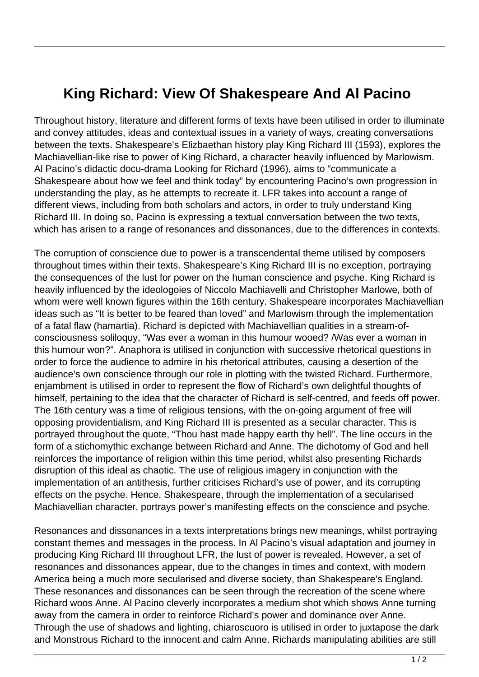## **King Richard: View Of Shakespeare And Al Pacino**

Throughout history, literature and different forms of texts have been utilised in order to illuminate and convey attitudes, ideas and contextual issues in a variety of ways, creating conversations between the texts. Shakespeare's Elizbaethan history play King Richard III (1593), explores the Machiavellian-like rise to power of King Richard, a character heavily influenced by Marlowism. Al Pacino's didactic docu-drama Looking for Richard (1996), aims to "communicate a Shakespeare about how we feel and think today" by encountering Pacino's own progression in understanding the play, as he attempts to recreate it. LFR takes into account a range of different views, including from both scholars and actors, in order to truly understand King Richard III. In doing so, Pacino is expressing a textual conversation between the two texts, which has arisen to a range of resonances and dissonances, due to the differences in contexts.

The corruption of conscience due to power is a transcendental theme utilised by composers throughout times within their texts. Shakespeare's King Richard III is no exception, portraying the consequences of the lust for power on the human conscience and psyche. King Richard is heavily influenced by the ideologoies of Niccolo Machiavelli and Christopher Marlowe, both of whom were well known figures within the 16th century. Shakespeare incorporates Machiavellian ideas such as "It is better to be feared than loved" and Marlowism through the implementation of a fatal flaw (hamartia). Richard is depicted with Machiavellian qualities in a stream-ofconsciousness soliloquy, "Was ever a woman in this humour wooed? /Was ever a woman in this humour won?". Anaphora is utilised in conjunction with successive rhetorical questions in order to force the audience to admire in his rhetorical attributes, causing a desertion of the audience's own conscience through our role in plotting with the twisted Richard. Furthermore, enjambment is utilised in order to represent the flow of Richard's own delightful thoughts of himself, pertaining to the idea that the character of Richard is self-centred, and feeds off power. The 16th century was a time of religious tensions, with the on-going argument of free will opposing providentialism, and King Richard III is presented as a secular character. This is portrayed throughout the quote, "Thou hast made happy earth thy hell". The line occurs in the form of a stichomythic exchange between Richard and Anne. The dichotomy of God and hell reinforces the importance of religion within this time period, whilst also presenting Richards disruption of this ideal as chaotic. The use of religious imagery in conjunction with the implementation of an antithesis, further criticises Richard's use of power, and its corrupting effects on the psyche. Hence, Shakespeare, through the implementation of a secularised Machiavellian character, portrays power's manifesting effects on the conscience and psyche.

Resonances and dissonances in a texts interpretations brings new meanings, whilst portraying constant themes and messages in the process. In Al Pacino's visual adaptation and journey in producing King Richard III throughout LFR, the lust of power is revealed. However, a set of resonances and dissonances appear, due to the changes in times and context, with modern America being a much more secularised and diverse society, than Shakespeare's England. These resonances and dissonances can be seen through the recreation of the scene where Richard woos Anne. Al Pacino cleverly incorporates a medium shot which shows Anne turning away from the camera in order to reinforce Richard's power and dominance over Anne. Through the use of shadows and lighting, chiaroscuoro is utilised in order to juxtapose the dark and Monstrous Richard to the innocent and calm Anne. Richards manipulating abilities are still